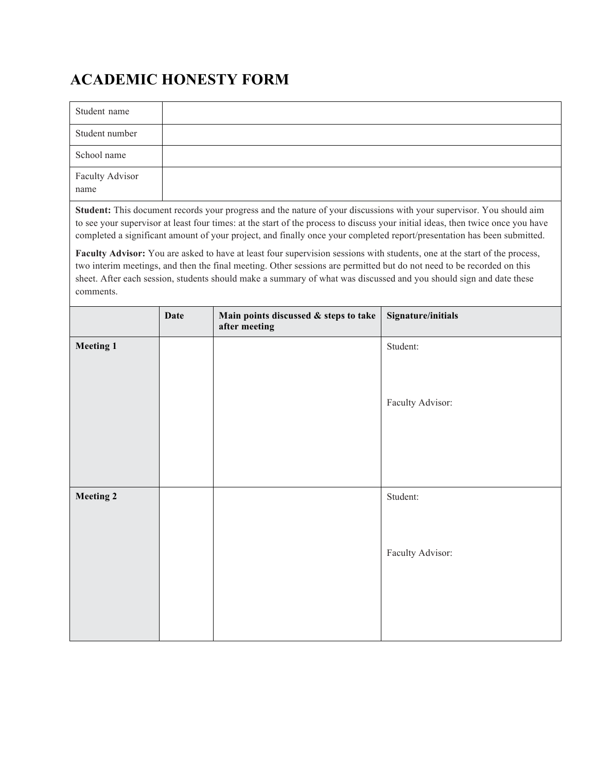## **ACADEMIC HONESTY FORM**

| Student name                                                                                                                |  |  |  |  |
|-----------------------------------------------------------------------------------------------------------------------------|--|--|--|--|
| Student number                                                                                                              |  |  |  |  |
| School name                                                                                                                 |  |  |  |  |
| <b>Faculty Advisor</b><br>name                                                                                              |  |  |  |  |
| <b>Student:</b> This document records your progress and the nature of your discussions with your supervisor. You should aim |  |  |  |  |

**Student:** This document records your progress and the nature of your discussions with your supervisor. You should aim to see your supervisor at least four times: at the start of the process to discuss your initial ideas, then twice once you have completed a significant amount of your project, and finally once your completed report/presentation has been submitted.

Faculty Advisor: You are asked to have at least four supervision sessions with students, one at the start of the process, two interim meetings, and then the final meeting. Other sessions are permitted but do not need to be recorded on this sheet. After each session, students should make a summary of what was discussed and you should sign and date these comments.

|           | <b>Date</b> | Main points discussed & steps to take<br>after meeting | Signature/initials |
|-----------|-------------|--------------------------------------------------------|--------------------|
| Meeting 1 |             |                                                        | Student:           |
|           |             |                                                        |                    |
|           |             |                                                        | Faculty Advisor:   |
|           |             |                                                        |                    |
|           |             |                                                        |                    |
|           |             |                                                        |                    |
| Meeting 2 |             |                                                        | Student:           |
|           |             |                                                        |                    |
|           |             |                                                        | Faculty Advisor:   |
|           |             |                                                        |                    |
|           |             |                                                        |                    |
|           |             |                                                        |                    |